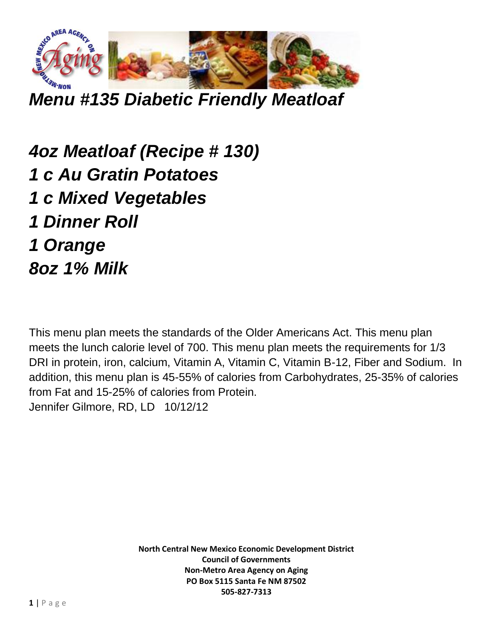

*Menu #135 Diabetic Friendly Meatloaf*

*4oz Meatloaf (Recipe # 130) 1 c Au Gratin Potatoes 1 c Mixed Vegetables 1 Dinner Roll 1 Orange 8oz 1% Milk*

This menu plan meets the standards of the Older Americans Act. This menu plan meets the lunch calorie level of 700. This menu plan meets the requirements for 1/3 DRI in protein, iron, calcium, Vitamin A, Vitamin C, Vitamin B-12, Fiber and Sodium. In addition, this menu plan is 45-55% of calories from Carbohydrates, 25-35% of calories from Fat and 15-25% of calories from Protein. Jennifer Gilmore, RD, LD 10/12/12

> **North Central New Mexico Economic Development District Council of Governments Non-Metro Area Agency on Aging PO Box 5115 Santa Fe NM 87502 505-827-7313**